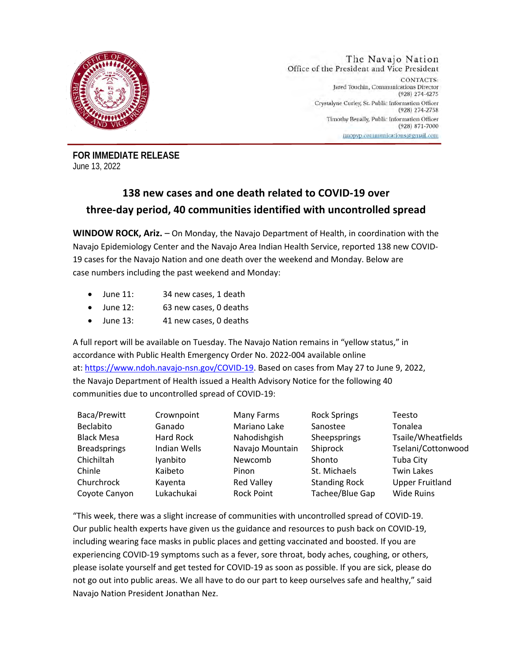

The Navajo Nation Office of the President and Vice President CONTACTS: Jared Touchin, Communications Director  $(928)$  274-4275 Crystalyne Curley, Sr. Public Information Officer (928) 274-2758 Timothy Benally, Public Information Officer  $(928)$  871-7000 nnopyp.communications@gmail.com

**FOR IMMEDIATE RELEASE**  June 13, 2022

## **138 new cases and one death related to COVID-19 over three-day period, 40 communities identified with uncontrolled spread**

**WINDOW ROCK, Ariz.** – On Monday, the Navajo Department of Health, in coordination with the Navajo Epidemiology Center and the Navajo Area Indian Health Service, reported 138 new COVID-19 cases for the Navajo Nation and one death over the weekend and Monday. Below are case numbers including the past weekend and Monday:

- June 11: 34 new cases, 1 death
- June 12: 63 new cases, 0 deaths
- June 13: 41 new cases, 0 deaths

A full report will be available on Tuesday. The Navajo Nation remains in "yellow status," in accordance with Public Health Emergency Order No. 2022-004 available online at: https://www.ndoh.navajo-nsn.gov/COVID-19. Based on cases from May 27 to June 9, 2022, the Navajo Department of Health issued a Health Advisory Notice for the following 40 communities due to uncontrolled spread of COVID-19:

| Baca/Prewitt        | Crownpoint          | Many Farms        | <b>Rock Springs</b>  | Teesto                 |
|---------------------|---------------------|-------------------|----------------------|------------------------|
| Beclabito           | Ganado              | Mariano Lake      | Sanostee             | Tonalea                |
| <b>Black Mesa</b>   | <b>Hard Rock</b>    | Nahodishgish      | Sheepsprings         | Tsaile/Wheatfields     |
| <b>Breadsprings</b> | <b>Indian Wells</b> | Navajo Mountain   | Shiprock             | Tselani/Cottonwood     |
| Chichiltah          | Iyanbito            | Newcomb           | Shonto               | Tuba City              |
| Chinle              | Kaibeto             | Pinon             | St. Michaels         | <b>Twin Lakes</b>      |
| Churchrock          | Kayenta             | <b>Red Valley</b> | <b>Standing Rock</b> | <b>Upper Fruitland</b> |
| Coyote Canyon       | Lukachukai          | <b>Rock Point</b> | Tachee/Blue Gap      | <b>Wide Ruins</b>      |

"This week, there was a slight increase of communities with uncontrolled spread of COVID-19. Our public health experts have given us the guidance and resources to push back on COVID-19, including wearing face masks in public places and getting vaccinated and boosted. If you are experiencing COVID-19 symptoms such as a fever, sore throat, body aches, coughing, or others, please isolate yourself and get tested for COVID-19 as soon as possible. If you are sick, please do not go out into public areas. We all have to do our part to keep ourselves safe and healthy," said Navajo Nation President Jonathan Nez.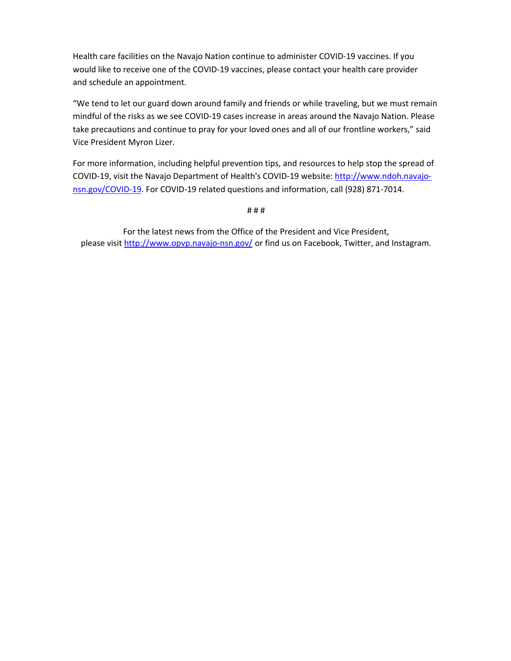Health care facilities on the Navajo Nation continue to administer COVID-19 vaccines. If you would like to receive one of the COVID-19 vaccines, please contact your health care provider and schedule an appointment.

"We tend to let our guard down around family and friends or while traveling, but we must remain mindful of the risks as we see COVID-19 cases increase in areas around the Navajo Nation. Please take precautions and continue to pray for your loved ones and all of our frontline workers," said Vice President Myron Lizer.

For more information, including helpful prevention tips, and resources to help stop the spread of COVID-19, visit the Navajo Department of Health's COVID-19 website: http://www.ndoh.navajonsn.gov/COVID-19. For COVID-19 related questions and information, call (928) 871-7014.

# # #

For the latest news from the Office of the President and Vice President, please visit http://www.opvp.navajo-nsn.gov/ or find us on Facebook, Twitter, and Instagram.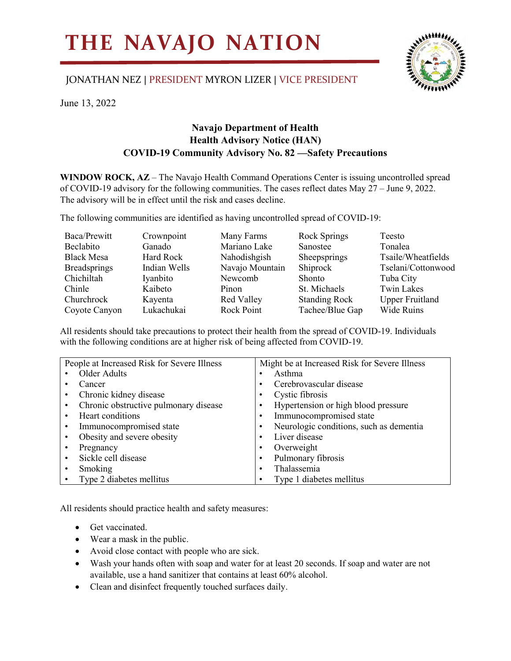## **THE NAVAJO NATION**

## JONATHAN NEZ | PRESIDENT MYRON LIZER | VICE PRESIDENT



June 13, 2022

## **Navajo Department of Health Health Advisory Notice (HAN) COVID-19 Community Advisory No. 82 —Safety Precautions**

**WINDOW ROCK, AZ** – The Navajo Health Command Operations Center is issuing uncontrolled spread of COVID-19 advisory for the following communities. The cases reflect dates May 27 – June 9, 2022. The advisory will be in effect until the risk and cases decline.

The following communities are identified as having uncontrolled spread of COVID-19:

| Baca/Prewitt        | Crownpoint   | Many Farms        | <b>Rock Springs</b>  | Teesto                 |
|---------------------|--------------|-------------------|----------------------|------------------------|
| Beclabito           | Ganado       | Mariano Lake      | Sanostee             | Tonalea                |
| <b>Black Mesa</b>   | Hard Rock    | Nahodishgish      | Sheepsprings         | Tsaile/Wheatfields     |
| <b>Breadsprings</b> | Indian Wells | Navajo Mountain   | Shiprock             | Tselani/Cottonwood     |
| Chichiltah          | Iyanbito     | Newcomb           | Shonto               | Tuba City              |
| Chinle              | Kaibeto      | Pinon             | St. Michaels         | <b>Twin Lakes</b>      |
| Churchrock          | Kayenta      | <b>Red Valley</b> | <b>Standing Rock</b> | <b>Upper Fruitland</b> |
| Coyote Canyon       | Lukachukai   | Rock Point        | Tachee/Blue Gap      | Wide Ruins             |

All residents should take precautions to protect their health from the spread of COVID-19. Individuals with the following conditions are at higher risk of being affected from COVID-19.

| People at Increased Risk for Severe Illness |                                       | Might be at Increased Risk for Severe Illness |                                         |  |
|---------------------------------------------|---------------------------------------|-----------------------------------------------|-----------------------------------------|--|
|                                             | Older Adults                          |                                               | Asthma                                  |  |
|                                             | Cancer                                |                                               | Cerebrovascular disease                 |  |
|                                             | Chronic kidney disease                |                                               | Cystic fibrosis                         |  |
|                                             | Chronic obstructive pulmonary disease |                                               | Hypertension or high blood pressure     |  |
|                                             | Heart conditions                      |                                               | Immunocompromised state                 |  |
|                                             | Immunocompromised state               |                                               | Neurologic conditions, such as dementia |  |
|                                             | Obesity and severe obesity            |                                               | Liver disease                           |  |
|                                             | Pregnancy                             |                                               | Overweight                              |  |
|                                             | Sickle cell disease                   |                                               | Pulmonary fibrosis                      |  |
|                                             | Smoking                               |                                               | Thalassemia                             |  |
|                                             | Type 2 diabetes mellitus              |                                               | Type 1 diabetes mellitus                |  |

All residents should practice health and safety measures:

- Get vaccinated.
- Wear a mask in the public.
- Avoid close contact with people who are sick.
- Wash your hands often with soap and water for at least 20 seconds. If soap and water are not available, use a hand sanitizer that contains at least 60% alcohol.
- Clean and disinfect frequently touched surfaces daily.